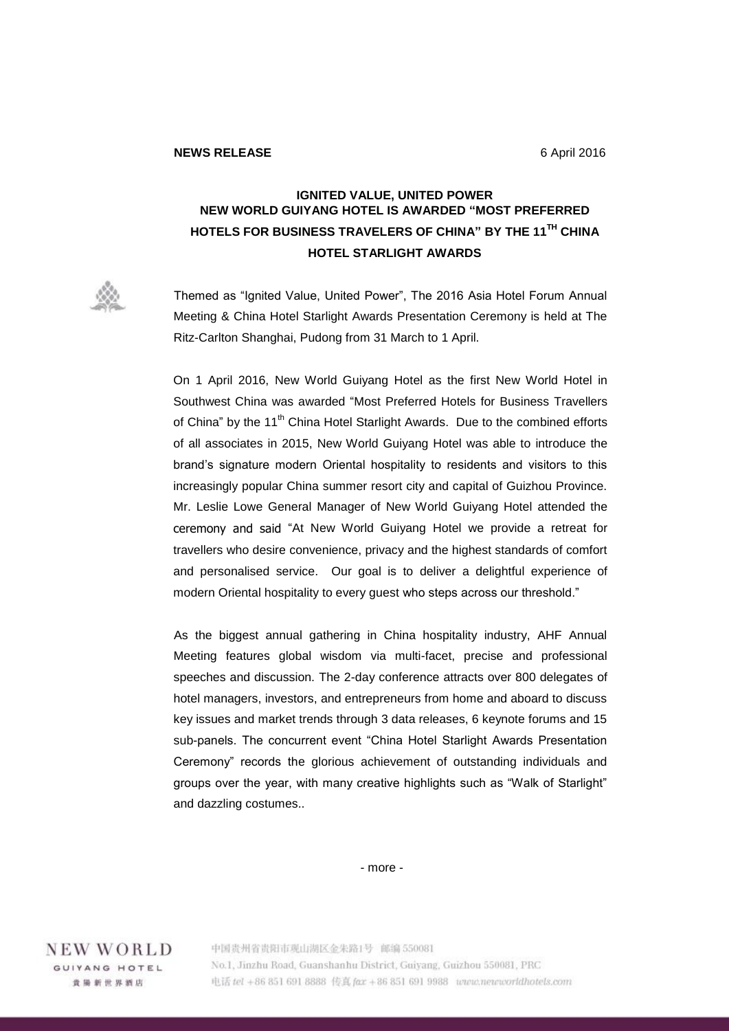## **IGNITED VALUE, UNITED POWER NEW WORLD GUIYANG HOTEL IS AWARDED "MOST PREFERRED HOTELS FOR BUSINESS TRAVELERS OF CHINA" BY THE 11TH CHINA HOTEL STARLIGHT AWARDS**

Themed as "Ignited Value, United Power", The 2016 Asia Hotel Forum Annual Meeting & China Hotel Starlight Awards Presentation Ceremony is held at The Ritz-Carlton Shanghai, Pudong from 31 March to 1 April.

On 1 April 2016, New World Guiyang Hotel as the first New World Hotel in Southwest China was awarded "Most Preferred Hotels for Business Travellers of China" by the 11<sup>th</sup> China Hotel Starlight Awards. Due to the combined efforts of all associates in 2015, New World Guiyang Hotel was able to introduce the brand's signature modern Oriental hospitality to residents and visitors to this increasingly popular China summer resort city and capital of Guizhou Province. Mr. Leslie Lowe General Manager of New World Guiyang Hotel attended the ceremony and said "At New World Guiyang Hotel we provide a retreat for travellers who desire convenience, privacy and the highest standards of comfort and personalised service. Our goal is to deliver a delightful experience of modern Oriental hospitality to every guest who steps across our threshold."

As the biggest annual gathering in China hospitality industry, AHF Annual Meeting features global wisdom via multi-facet, precise and professional speeches and discussion. The 2-day conference attracts over 800 delegates of hotel managers, investors, and entrepreneurs from home and aboard to discuss key issues and market trends through 3 data releases, 6 keynote forums and 15 sub-panels. The concurrent event "China Hotel Starlight Awards Presentation Ceremony" records the glorious achievement of outstanding individuals and groups over the year, with many creative highlights such as "Walk of Starlight" and dazzling costumes..

- more -

NEW WORLD GUIYANG HOTEL 貴陽新世界酒店

中国贵州省贵阳市观山湖区金朱路1号 邮编 550081 No.1, Jinzhu Road, Guanshanhu District, Guiyang, Guizhou 550081, PRC 电话 tel +86 851 691 8888 传真 fax +86 851 691 9988 www.newworldhotels.com